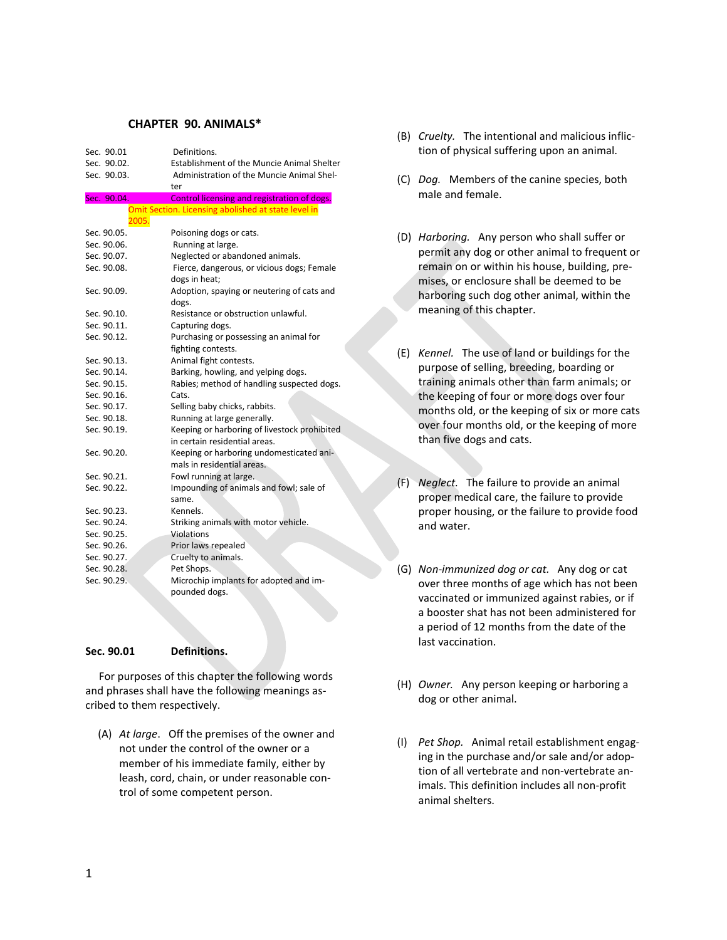## **CHAPTER 90. ANIMALS\***

| Sec. 90.01  | Definitions.                                        |
|-------------|-----------------------------------------------------|
| Sec. 90.02. | <b>Establishment of the Muncie Animal Shelter</b>   |
| Sec. 90.03. | Administration of the Muncie Animal Shel-           |
|             | ter                                                 |
| Sec. 90.04. | Control licensing and registration of dogs.         |
|             | Omit Section. Licensing abolished at state level in |
| 2005.       |                                                     |
| Sec. 90.05. | Poisoning dogs or cats.                             |
| Sec. 90.06. | Running at large.                                   |
| Sec. 90.07. | Neglected or abandoned animals.                     |
| Sec. 90.08. | Fierce, dangerous, or vicious dogs; Female          |
|             | dogs in heat;                                       |
| Sec. 90.09. | Adoption, spaying or neutering of cats and          |
|             | dogs.                                               |
| Sec. 90.10. | Resistance or obstruction unlawful.                 |
| Sec. 90.11. | Capturing dogs.                                     |
| Sec. 90.12. | Purchasing or possessing an animal for              |
|             | fighting contests.                                  |
| Sec. 90.13. | Animal fight contests.                              |
| Sec. 90.14. | Barking, howling, and yelping dogs.                 |
| Sec. 90.15. | Rabies; method of handling suspected dogs.          |
| Sec. 90.16. | Cats.                                               |
| Sec. 90.17. | Selling baby chicks, rabbits.                       |
| Sec. 90.18. | Running at large generally.                         |
| Sec. 90.19. | Keeping or harboring of livestock prohibited        |
|             | in certain residential areas.                       |
| Sec. 90.20. | Keeping or harboring undomesticated ani-            |
|             | mals in residential areas.                          |
| Sec. 90.21. | Fowl running at large.                              |
| Sec. 90.22. | Impounding of animals and fowl; sale of             |
|             | same.                                               |
| Sec. 90.23. | Kennels.                                            |
| Sec. 90.24. | Striking animals with motor vehicle.                |
| Sec. 90.25. | Violations                                          |
| Sec. 90.26. | Prior laws repealed                                 |
| Sec. 90.27. | Cruelty to animals.                                 |
| Sec. 90.28. | Pet Shops.                                          |
| Sec. 90.29. | Microchip implants for adopted and im-              |
|             | pounded dogs.                                       |

#### **Sec. 90.01 Definitions.**

 For purposes of this chapter the following words and phrases shall have the following meanings ascribed to them respectively.

(A) *At large*. Off the premises of the owner and not under the control of the owner or a member of his immediate family, either by leash, cord, chain, or under reasonable control of some competent person.

- (B) *Cruelty.* The intentional and malicious infliction of physical suffering upon an animal.
- (C) *Dog.* Members of the canine species, both male and female.
- (D) *Harboring.* Any person who shall suffer or permit any dog or other animal to frequent or remain on or within his house, building, premises, or enclosure shall be deemed to be harboring such dog other animal, within the meaning of this chapter.
- (E) *Kennel.* The use of land or buildings for the purpose of selling, breeding, boarding or training animals other than farm animals; or the keeping of four or more dogs over four months old, or the keeping of six or more cats over four months old, or the keeping of more than five dogs and cats.
- (F) *Neglect.* The failure to provide an animal proper medical care, the failure to provide proper housing, or the failure to provide food and water.
- (G) *Non-immunized dog or cat.* Any dog or cat over three months of age which has not been vaccinated or immunized against rabies, or if a booster shat has not been administered for a period of 12 months from the date of the last vaccination.
- (H) *Owner.* Any person keeping or harboring a dog or other animal.
- (I) *Pet Shop.* Animal retail establishment engaging in the purchase and/or sale and/or adoption of all vertebrate and non-vertebrate animals. This definition includes all non-profit animal shelters.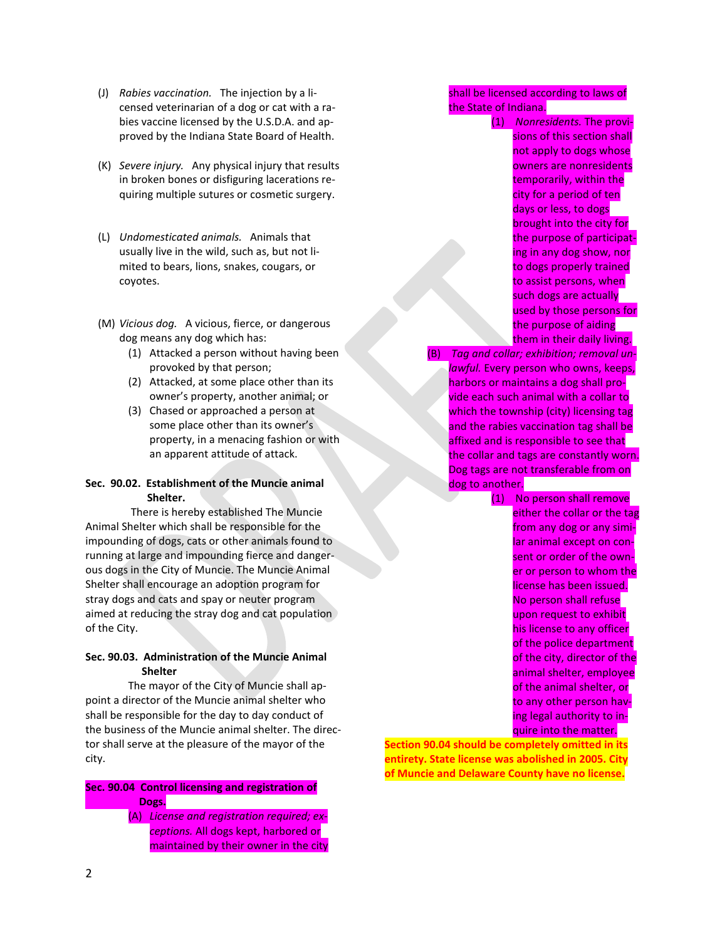- (J) *Rabies vaccination.* The injection by a licensed veterinarian of a dog or cat with a rabies vaccine licensed by the U.S.D.A. and approved by the Indiana State Board of Health.
- (K) *Severe injury.* Any physical injury that results in broken bones or disfiguring lacerations requiring multiple sutures or cosmetic surgery.
- (L) *Undomesticated animals.* Animals that usually live in the wild, such as, but not limited to bears, lions, snakes, cougars, or coyotes.
- (M) *Vicious dog.* A vicious, fierce, or dangerous dog means any dog which has:
	- (1) Attacked a person without having been provoked by that person;
	- (2) Attacked, at some place other than its owner's property, another animal; or
	- (3) Chased or approached a person at some place other than its owner's property, in a menacing fashion or with an apparent attitude of attack.

## **Sec. 90.02. Establishment of the Muncie animal Shelter.**

There is hereby established The Muncie Animal Shelter which shall be responsible for the impounding of dogs, cats or other animals found to running at large and impounding fierce and dangerous dogs in the City of Muncie. The Muncie Animal Shelter shall encourage an adoption program for stray dogs and cats and spay or neuter program aimed at reducing the stray dog and cat population of the City.

## **Sec. 90.03. Administration of the Muncie Animal Shelter**

The mayor of the City of Muncie shall appoint a director of the Muncie animal shelter who shall be responsible for the day to day conduct of the business of the Muncie animal shelter. The director shall serve at the pleasure of the mayor of the city.

## **Sec. 90.04 Control licensing and registration of Dogs.**

(A) *License and registration required; exceptions.* All dogs kept, harbored or maintained by their owner in the city

shall be licensed according to laws of the State of Indiana.

> (1) *Nonresidents.* The provisions of this section shall not apply to dogs whose owners are nonresidents temporarily, within the city for a period of ten days or less, to dogs brought into the city for the purpose of participating in any dog show, nor to dogs properly trained to assist persons, when such dogs are actually used by those persons for the purpose of aiding them in their daily living.

(B) *Tag and collar; exhibition; removal unlawful.* Every person who owns, keeps, harbors or maintains a dog shall provide each such animal with a collar to which the township (city) licensing tag and the rabies vaccination tag shall be affixed and is responsible to see that the collar and tags are constantly worn. Dog tags are not transferable from on dog to another.

> (1) No person shall remove either the collar or the tag from any dog or any similar animal except on consent or order of the owner or person to whom the license has been issued. No person shall refuse upon request to exhibit his license to any officer of the police department of the city, director of the animal shelter, employee of the animal shelter, or to any other person having legal authority to inquire into the matter.

**Section 90.04 should be completely omitted in its entirety. State license was abolished in 2005. City of Muncie and Delaware County have no license.**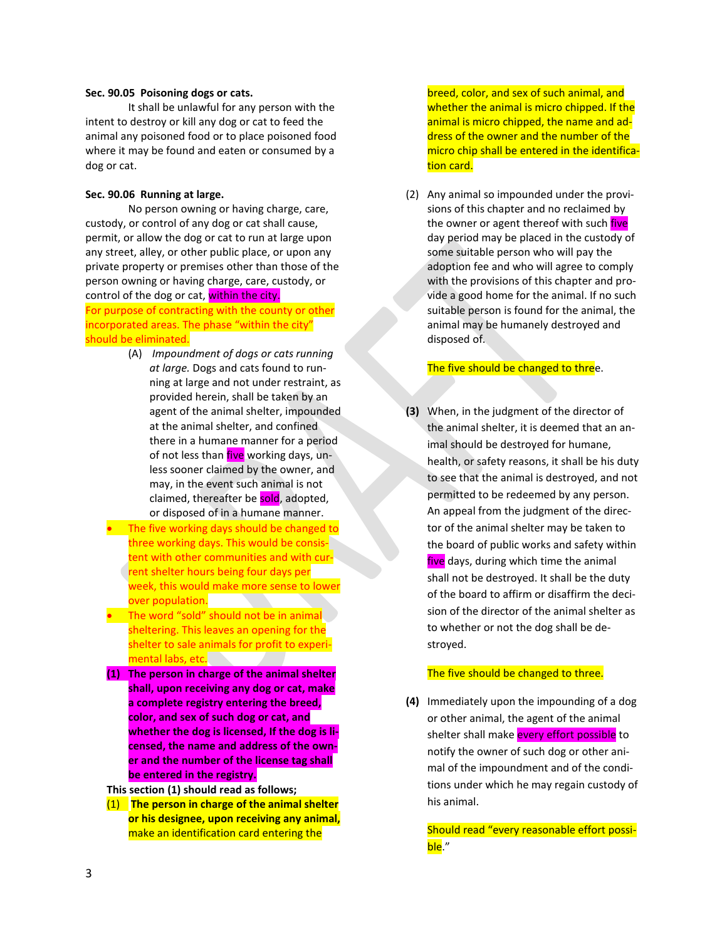#### **Sec. 90.05 Poisoning dogs or cats.**

It shall be unlawful for any person with the intent to destroy or kill any dog or cat to feed the animal any poisoned food or to place poisoned food where it may be found and eaten or consumed by a dog or cat.

#### **Sec. 90.06 Running at large.**

No person owning or having charge, care, custody, or control of any dog or cat shall cause, permit, or allow the dog or cat to run at large upon any street, alley, or other public place, or upon any private property or premises other than those of the person owning or having charge, care, custody, or control of the dog or cat, within the city.

For purpose of contracting with the county or other incorporated areas. The phase "within the city" should be eliminated.

- (A) *Impoundment of dogs or cats running at large.* Dogs and cats found to running at large and not under restraint, as provided herein, shall be taken by an agent of the animal shelter, impounded at the animal shelter, and confined there in a humane manner for a period of not less than five working days, unless sooner claimed by the owner, and may, in the event such animal is not claimed, thereafter be sold, adopted, or disposed of in a humane manner.
- The five working days should be changed to three working days. This would be consistent with other communities and with current shelter hours being four days per week, this would make more sense to lower over population.
- The word "sold" should not be in animal sheltering. This leaves an opening for the shelter to sale animals for profit to experimental labs, etc. **Exercise and Solution**
- **(1) The person in charge of the animal shelter shall, upon receiving any dog or cat, make a complete registry entering the breed, color, and sex of such dog or cat, and whether the dog is licensed, If the dog is licensed, the name and address of the owner and the number of the license tag shall be entered in the registry.**

**This section (1) should read as follows;**

(1) **The person in charge of the animal shelter or his designee, upon receiving any animal,**  make an identification card entering the

breed, color, and sex of such animal, and whether the animal is micro chipped. If the animal is micro chipped, the name and address of the owner and the number of the micro chip shall be entered in the identification card.

(2) Any animal so impounded under the provisions of this chapter and no reclaimed by the owner or agent thereof with such *five* day period may be placed in the custody of some suitable person who will pay the adoption fee and who will agree to comply with the provisions of this chapter and provide a good home for the animal. If no such suitable person is found for the animal, the animal may be humanely destroyed and disposed of.

## The five should be changed to three.

**(3)** When, in the judgment of the director of the animal shelter, it is deemed that an animal should be destroyed for humane, health, or safety reasons, it shall be his duty to see that the animal is destroyed, and not permitted to be redeemed by any person. An appeal from the judgment of the director of the animal shelter may be taken to the board of public works and safety within five days, during which time the animal shall not be destroyed. It shall be the duty of the board to affirm or disaffirm the decision of the director of the animal shelter as to whether or not the dog shall be destroyed.

#### The five should be changed to three.

**(4)** Immediately upon the impounding of a dog or other animal, the agent of the animal shelter shall make every effort possible to notify the owner of such dog or other animal of the impoundment and of the conditions under which he may regain custody of his animal.

Should read "every reasonable effort possible."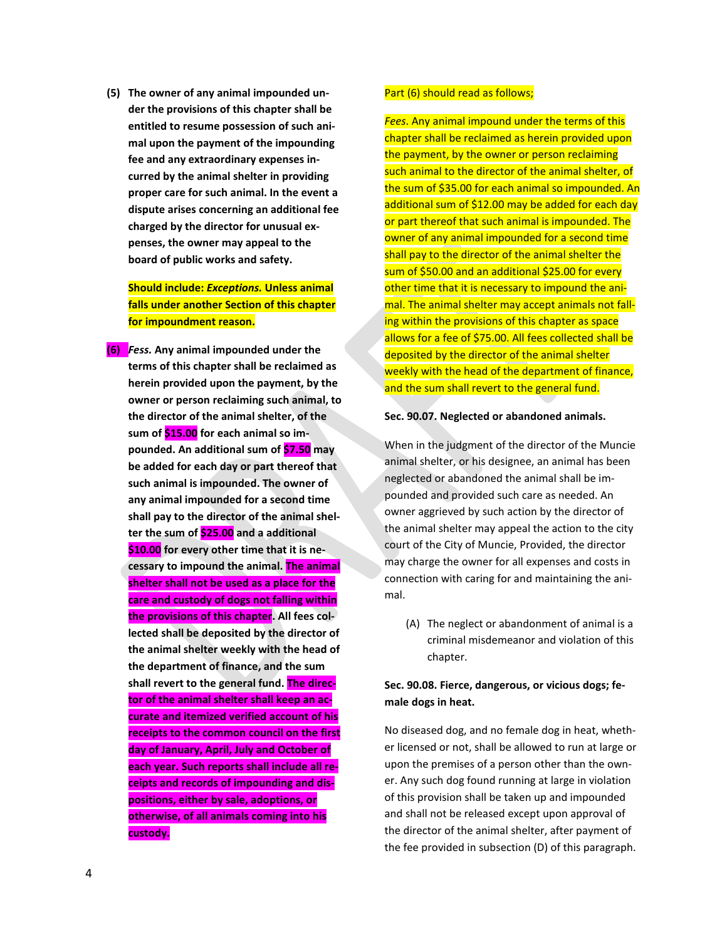**(5) The owner of any animal impounded under the provisions of this chapter shall be entitled to resume possession of such animal upon the payment of the impounding fee and any extraordinary expenses incurred by the animal shelter in providing proper care for such animal. In the event a dispute arises concerning an additional fee charged by the director for unusual expenses, the owner may appeal to the board of public works and safety.**

**Should include:** *Exceptions.* **Unless animal falls under another Section of this chapter for impoundment reason.**

**(6)** *Fess.* **Any animal impounded under the terms of this chapter shall be reclaimed as herein provided upon the payment, by the owner or person reclaiming such animal, to the director of the animal shelter, of the sum of \$15.00 for each animal so impounded. An additional sum of \$7.50 may be added for each day or part thereof that such animal is impounded. The owner of any animal impounded for a second time shall pay to the director of the animal shelter the sum of \$25.00 and a additional \$10.00 for every other time that it is necessary to impound the animal. The animal shelter shall not be used as a place for the care and custody of dogs not falling within the provisions of this chapter. All fees collected shall be deposited by the director of the animal shelter weekly with the head of the department of finance, and the sum shall revert to the general fund. The director of the animal shelter shall keep an accurate and itemized verified account of his receipts to the common council on the first day of January, April, July and October of each year. Such reports shall include all receipts and records of impounding and dispositions, either by sale, adoptions, or otherwise, of all animals coming into his custody.** 

#### Part (6) should read as follows;

*Fees*. Any animal impound under the terms of this chapter shall be reclaimed as herein provided upon the payment, by the owner or person reclaiming such animal to the director of the animal shelter, of the sum of \$35.00 for each animal so impounded. An additional sum of \$12.00 may be added for each day or part thereof that such animal is impounded. The owner of any animal impounded for a second time shall pay to the director of the animal shelter the sum of \$50.00 and an additional \$25.00 for every other time that it is necessary to impound the animal. The animal shelter may accept animals not falling within the provisions of this chapter as space allows for a fee of \$75.00. All fees collected shall be deposited by the director of the animal shelter weekly with the head of the department of finance, and the sum shall revert to the general fund.

#### **Sec. 90.07. Neglected or abandoned animals.**

When in the judgment of the director of the Muncie animal shelter, or his designee, an animal has been neglected or abandoned the animal shall be impounded and provided such care as needed. An owner aggrieved by such action by the director of the animal shelter may appeal the action to the city court of the City of Muncie, Provided, the director may charge the owner for all expenses and costs in connection with caring for and maintaining the animal.

(A) The neglect or abandonment of animal is a criminal misdemeanor and violation of this chapter.

# **Sec. 90.08. Fierce, dangerous, or vicious dogs; female dogs in heat.**

No diseased dog, and no female dog in heat, whether licensed or not, shall be allowed to run at large or upon the premises of a person other than the owner. Any such dog found running at large in violation of this provision shall be taken up and impounded and shall not be released except upon approval of the director of the animal shelter, after payment of the fee provided in subsection (D) of this paragraph.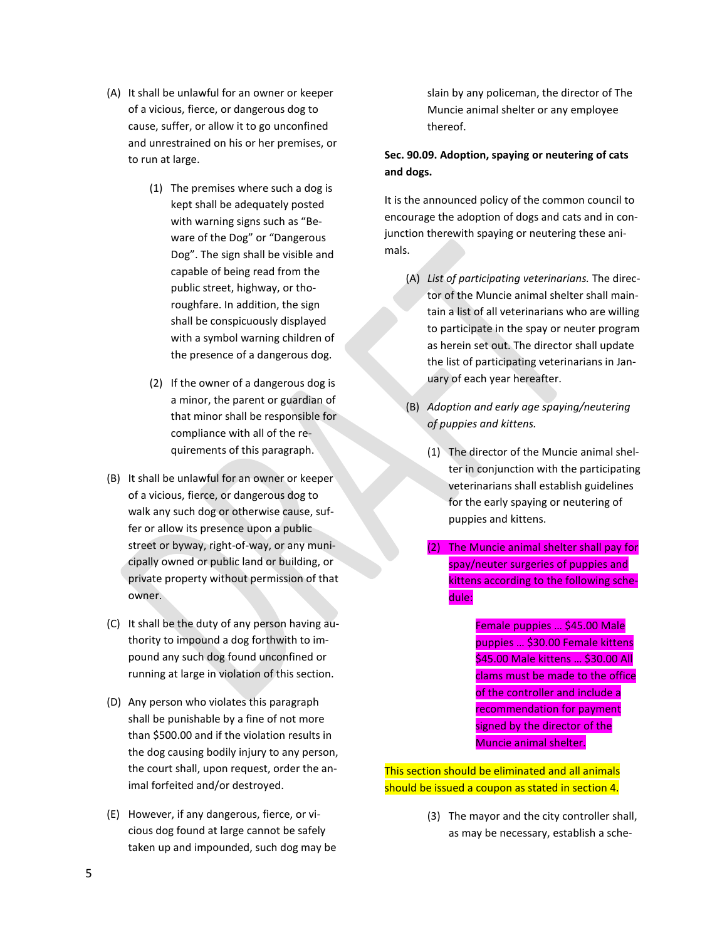- (A) It shall be unlawful for an owner or keeper of a vicious, fierce, or dangerous dog to cause, suffer, or allow it to go unconfined and unrestrained on his or her premises, or to run at large.
	- (1) The premises where such a dog is kept shall be adequately posted with warning signs such as "Beware of the Dog" or "Dangerous Dog". The sign shall be visible and capable of being read from the public street, highway, or thoroughfare. In addition, the sign shall be conspicuously displayed with a symbol warning children of the presence of a dangerous dog.
	- (2) If the owner of a dangerous dog is a minor, the parent or guardian of that minor shall be responsible for compliance with all of the requirements of this paragraph.
- (B) It shall be unlawful for an owner or keeper of a vicious, fierce, or dangerous dog to walk any such dog or otherwise cause, suffer or allow its presence upon a public street or byway, right-of-way, or any municipally owned or public land or building, or private property without permission of that owner.
- (C) It shall be the duty of any person having authority to impound a dog forthwith to impound any such dog found unconfined or running at large in violation of this section.
- (D) Any person who violates this paragraph shall be punishable by a fine of not more than \$500.00 and if the violation results in the dog causing bodily injury to any person, the court shall, upon request, order the animal forfeited and/or destroyed.
- (E) However, if any dangerous, fierce, or vicious dog found at large cannot be safely taken up and impounded, such dog may be

slain by any policeman, the director of The Muncie animal shelter or any employee thereof.

# **Sec. 90.09. Adoption, spaying or neutering of cats and dogs.**

It is the announced policy of the common council to encourage the adoption of dogs and cats and in conjunction therewith spaying or neutering these animals.

- (A) *List of participating veterinarians.* The director of the Muncie animal shelter shall maintain a list of all veterinarians who are willing to participate in the spay or neuter program as herein set out. The director shall update the list of participating veterinarians in January of each year hereafter.
- (B) *Adoption and early age spaying/neutering of puppies and kittens.*
	- (1) The director of the Muncie animal shelter in conjunction with the participating veterinarians shall establish guidelines for the early spaying or neutering of puppies and kittens.
	- (2) The Muncie animal shelter shall pay for spay/neuter surgeries of puppies and kittens according to the following schedule:

Female puppies … \$45.00 Male puppies … \$30.00 Female kittens \$45.00 Male kittens … \$30.00 All clams must be made to the office of the controller and include a recommendation for payment signed by the director of the Muncie animal shelter.

This section should be eliminated and all animals should be issued a coupon as stated in section 4.

> (3) The mayor and the city controller shall, as may be necessary, establish a sche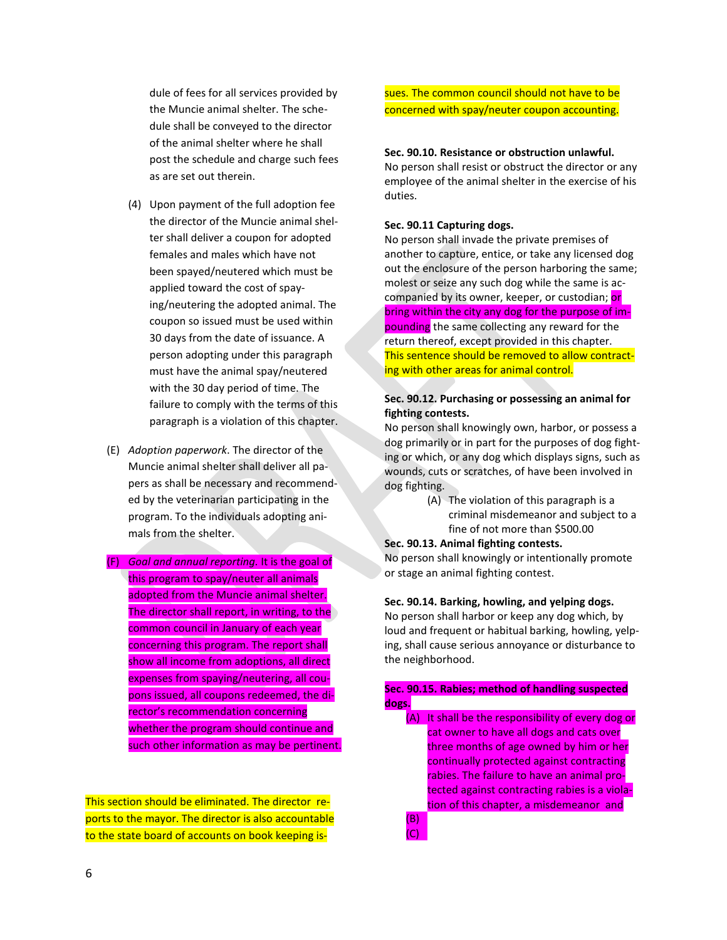dule of fees for all services provided by the Muncie animal shelter. The schedule shall be conveyed to the director of the animal shelter where he shall post the schedule and charge such fees as are set out therein.

- (4) Upon payment of the full adoption fee the director of the Muncie animal shelter shall deliver a coupon for adopted females and males which have not been spayed/neutered which must be applied toward the cost of spaying/neutering the adopted animal. The coupon so issued must be used within 30 days from the date of issuance. A person adopting under this paragraph must have the animal spay/neutered with the 30 day period of time. The failure to comply with the terms of this paragraph is a violation of this chapter.
- (E) *Adoption paperwork*. The director of the Muncie animal shelter shall deliver all papers as shall be necessary and recommended by the veterinarian participating in the program. To the individuals adopting animals from the shelter.
- (F) *Goal and annual reporting.* It is the goal of this program to spay/neuter all animals adopted from the Muncie animal shelter. The director shall report, in writing, to the common council in January of each year concerning this program. The report shall show all income from adoptions, all direct expenses from spaying/neutering, all coupons issued, all coupons redeemed, the director's recommendation concerning whether the program should continue and such other information as may be pertinent.

This section should be eliminated. The director reports to the mayor. The director is also accountable to the state board of accounts on book keeping issues. The common council should not have to be concerned with spay/neuter coupon accounting.

#### **Sec. 90.10. Resistance or obstruction unlawful.**

No person shall resist or obstruct the director or any employee of the animal shelter in the exercise of his duties.

#### **Sec. 90.11 Capturing dogs.**

No person shall invade the private premises of another to capture, entice, or take any licensed dog out the enclosure of the person harboring the same; molest or seize any such dog while the same is accompanied by its owner, keeper, or custodian; or bring within the city any dog for the purpose of impounding the same collecting any reward for the return thereof, except provided in this chapter. This sentence should be removed to allow contracting with other areas for animal control.

## **Sec. 90.12. Purchasing or possessing an animal for fighting contests.**

No person shall knowingly own, harbor, or possess a dog primarily or in part for the purposes of dog fighting or which, or any dog which displays signs, such as wounds, cuts or scratches, of have been involved in dog fighting.

> (A) The violation of this paragraph is a criminal misdemeanor and subject to a fine of not more than \$500.00

#### **Sec. 90.13. Animal fighting contests.**

No person shall knowingly or intentionally promote or stage an animal fighting contest.

## **Sec. 90.14. Barking, howling, and yelping dogs.**

No person shall harbor or keep any dog which, by loud and frequent or habitual barking, howling, yelping, shall cause serious annoyance or disturbance to the neighborhood.

### **Sec. 90.15. Rabies; method of handling suspected dogs.**

(A) It shall be the responsibility of every dog or cat owner to have all dogs and cats over three months of age owned by him or her continually protected against contracting rabies. The failure to have an animal protected against contracting rabies is a violation of this chapter, a misdemeanor and

(B) (C)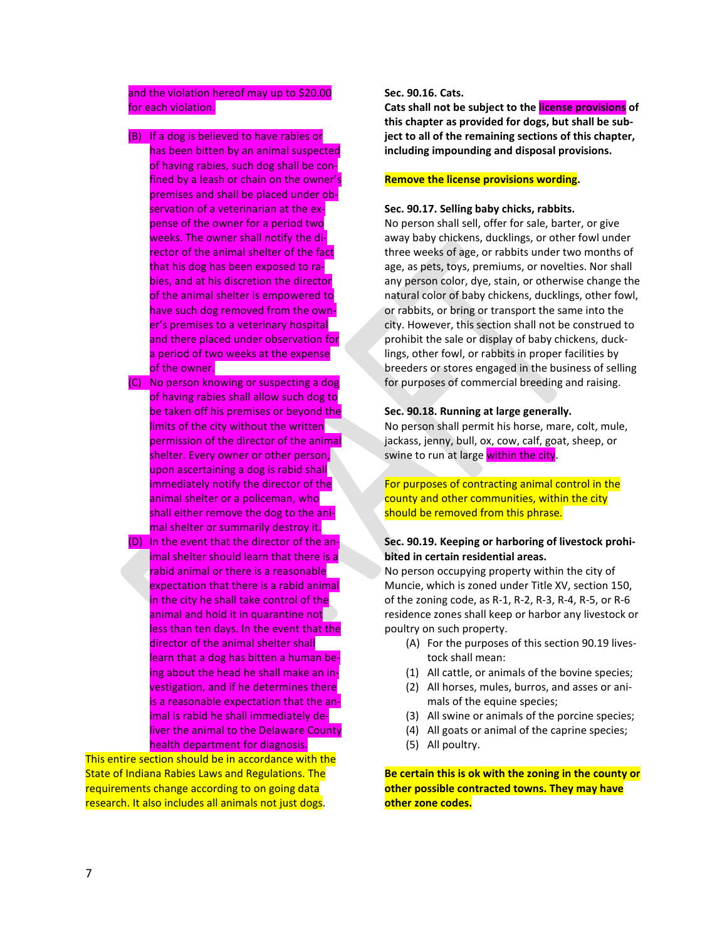## and the violation hereof may up to \$20.00 for each violation.

#### (B) If a dog is believed to have rabies or

- has been bitten by an animal suspected of having rabies, such dog shall be confined by a leash or chain on the owner's premises and shall be placed under observation of a veterinarian at the expense of the owner for a period two weeks. The owner shall notify the director of the animal shelter of the fact that his dog has been exposed to rabies, and at his discretion the director of the animal shelter is empowered to have such dog removed from the owner's premises to a veterinary hospital and there placed under observation for a period of two weeks at the expense of the owner.
- (C) No person knowing or suspecting a dog of having rabies shall allow such dog to be taken off his premises or beyond the limits of the city without the written permission of the director of the animal shelter. Every owner or other person, upon ascertaining a dog is rabid shall immediately notify the director of the animal shelter or a policeman, who shall either remove the dog to the animal shelter or summarily destroy it.
- (D) In the event that the director of the animal shelter should learn that there is a rabid animal or there is a reasonable expectation that there is a rabid animal in the city he shall take control of the animal and hold it in quarantine not less than ten days. In the event that the director of the animal shelter shall learn that a dog has bitten a human being about the head he shall make an investigation, and if he determines there is a reasonable expectation that the animal is rabid he shall immediately deliver the animal to the Delaware County health department for diagnosis.

This entire section should be in accordance with the State of Indiana Rabies Laws and Regulations. The requirements change according to on going data research. It also includes all animals not just dogs.

### **Sec. 90.16. Cats.**

**Cats shall not be subject to the license provisions of this chapter as provided for dogs, but shall be subject to all of the remaining sections of this chapter, including impounding and disposal provisions.**

### **Remove the license provisions wording.**

#### **Sec. 90.17. Selling baby chicks, rabbits.**

No person shall sell, offer for sale, barter, or give away baby chickens, ducklings, or other fowl under three weeks of age, or rabbits under two months of age, as pets, toys, premiums, or novelties. Nor shall any person color, dye, stain, or otherwise change the natural color of baby chickens, ducklings, other fowl, or rabbits, or bring or transport the same into the city. However, this section shall not be construed to prohibit the sale or display of baby chickens, ducklings, other fowl, or rabbits in proper facilities by breeders or stores engaged in the business of selling for purposes of commercial breeding and raising.

#### **Sec. 90.18. Running at large generally.**

No person shall permit his horse, mare, colt, mule, jackass, jenny, bull, ox, cow, calf, goat, sheep, or swine to run at large within the city.

## For purposes of contracting animal control in the county and other communities, within the city should be removed from this phrase.

### **Sec. 90.19. Keeping or harboring of livestock prohibited in certain residential areas.**

No person occupying property within the city of Muncie, which is zoned under Title XV, section 150, of the zoning code, as R-1, R-2, R-3, R-4, R-5, or R-6 residence zones shall keep or harbor any livestock or poultry on such property.

- (A) For the purposes of this section 90.19 livestock shall mean:
- (1) All cattle, or animals of the bovine species;
- (2) All horses, mules, burros, and asses or animals of the equine species;
- (3) All swine or animals of the porcine species;
- (4) All goats or animal of the caprine species;
- (5) All poultry.

**Be certain this is ok with the zoning in the county or other possible contracted towns. They may have other zone codes.**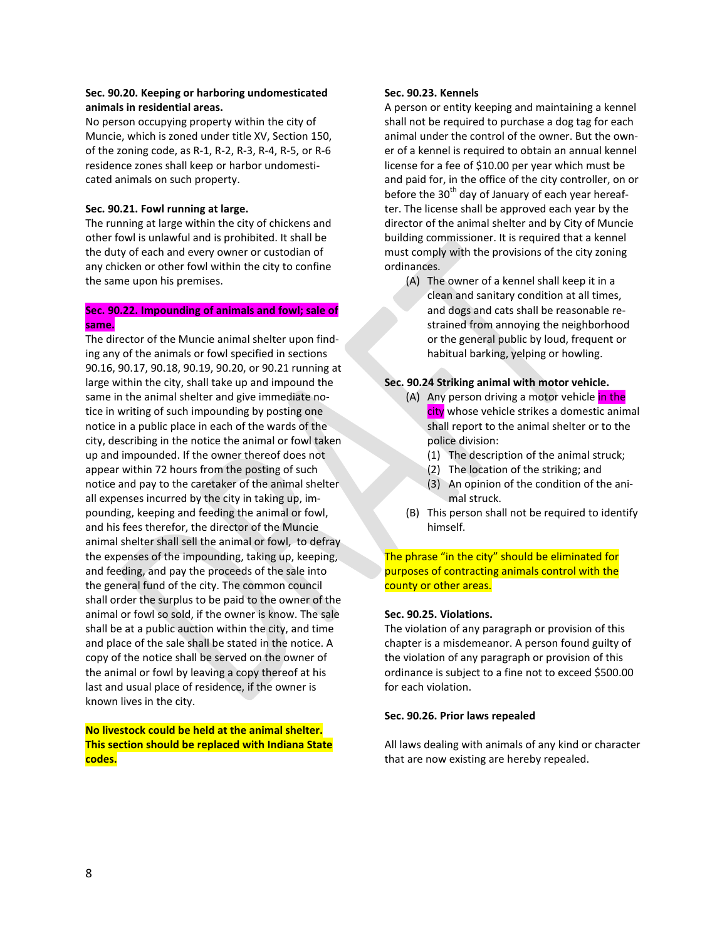## **Sec. 90.20. Keeping or harboring undomesticated animals in residential areas.**

No person occupying property within the city of Muncie, which is zoned under title XV, Section 150, of the zoning code, as R-1, R-2, R-3, R-4, R-5, or R-6 residence zones shall keep or harbor undomesticated animals on such property.

#### **Sec. 90.21. Fowl running at large.**

The running at large within the city of chickens and other fowl is unlawful and is prohibited. It shall be the duty of each and every owner or custodian of any chicken or other fowl within the city to confine the same upon his premises.

### **Sec. 90.22. Impounding of animals and fowl; sale of same.**

The director of the Muncie animal shelter upon finding any of the animals or fowl specified in sections 90.16, 90.17, 90.18, 90.19, 90.20, or 90.21 running at large within the city, shall take up and impound the same in the animal shelter and give immediate notice in writing of such impounding by posting one notice in a public place in each of the wards of the city, describing in the notice the animal or fowl taken up and impounded. If the owner thereof does not appear within 72 hours from the posting of such notice and pay to the caretaker of the animal shelter all expenses incurred by the city in taking up, impounding, keeping and feeding the animal or fowl, and his fees therefor, the director of the Muncie animal shelter shall sell the animal or fowl, to defray the expenses of the impounding, taking up, keeping, and feeding, and pay the proceeds of the sale into the general fund of the city. The common council shall order the surplus to be paid to the owner of the animal or fowl so sold, if the owner is know. The sale shall be at a public auction within the city, and time and place of the sale shall be stated in the notice. A copy of the notice shall be served on the owner of the animal or fowl by leaving a copy thereof at his last and usual place of residence, if the owner is known lives in the city.

**No livestock could be held at the animal shelter. This section should be replaced with Indiana State codes.**

### **Sec. 90.23. Kennels**

A person or entity keeping and maintaining a kennel shall not be required to purchase a dog tag for each animal under the control of the owner. But the owner of a kennel is required to obtain an annual kennel license for a fee of \$10.00 per year which must be and paid for, in the office of the city controller, on or before the  $30<sup>th</sup>$  day of January of each year hereafter. The license shall be approved each year by the director of the animal shelter and by City of Muncie building commissioner. It is required that a kennel must comply with the provisions of the city zoning ordinances.

(A) The owner of a kennel shall keep it in a clean and sanitary condition at all times, and dogs and cats shall be reasonable restrained from annoying the neighborhood or the general public by loud, frequent or habitual barking, yelping or howling.

## **Sec. 90.24 Striking animal with motor vehicle.**

- (A) Any person driving a motor vehicle in the city whose vehicle strikes a domestic animal shall report to the animal shelter or to the police division:
	- (1) The description of the animal struck;
	- (2) The location of the striking; and
	- (3) An opinion of the condition of the animal struck.
- (B) This person shall not be required to identify himself.

The phrase "in the city" should be eliminated for purposes of contracting animals control with the county or other areas.

#### **Sec. 90.25. Violations.**

The violation of any paragraph or provision of this chapter is a misdemeanor. A person found guilty of the violation of any paragraph or provision of this ordinance is subject to a fine not to exceed \$500.00 for each violation.

#### **Sec. 90.26. Prior laws repealed**

All laws dealing with animals of any kind or character that are now existing are hereby repealed.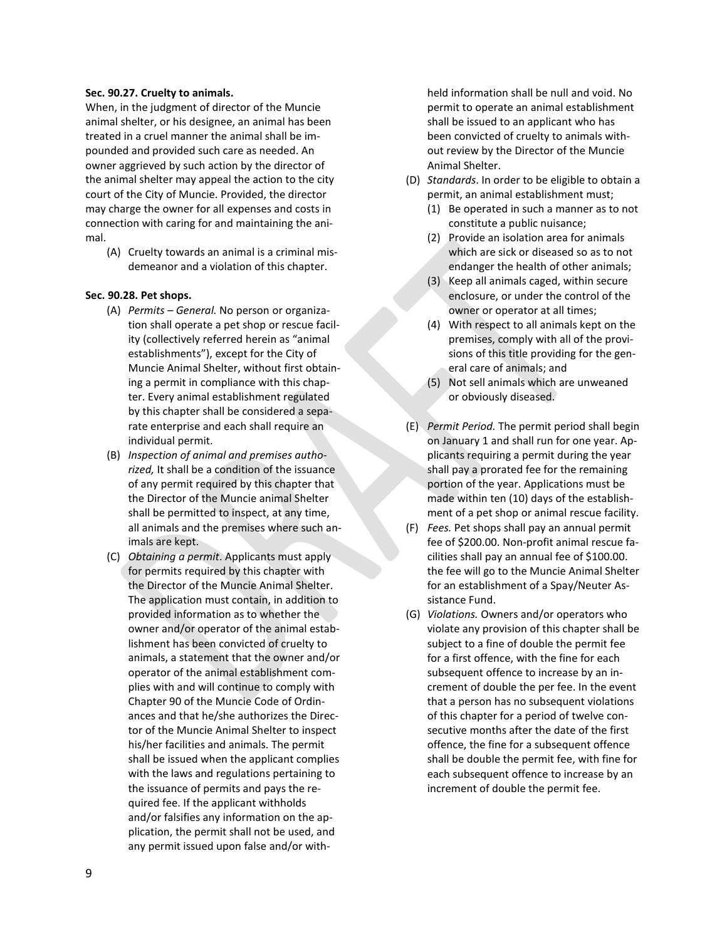#### **Sec. 90.27. Cruelty to animals.**

When, in the judgment of director of the Muncie animal shelter, or his designee, an animal has been treated in a cruel manner the animal shall be impounded and provided such care as needed. An owner aggrieved by such action by the director of the animal shelter may appeal the action to the city court of the City of Muncie. Provided, the director may charge the owner for all expenses and costs in connection with caring for and maintaining the animal.

(A) Cruelty towards an animal is a criminal misdemeanor and a violation of this chapter.

#### **Sec. 90.28. Pet shops.**

- (A) *Permits – General.* No person or organization shall operate a pet shop or rescue facility (collectively referred herein as "animal establishments"), except for the City of Muncie Animal Shelter, without first obtaining a permit in compliance with this chapter. Every animal establishment regulated by this chapter shall be considered a separate enterprise and each shall require an individual permit.
- (B) *Inspection of animal and premises authorized,* It shall be a condition of the issuance of any permit required by this chapter that the Director of the Muncie animal Shelter shall be permitted to inspect, at any time, all animals and the premises where such animals are kept.
- (C) *Obtaining a permit*. Applicants must apply for permits required by this chapter with the Director of the Muncie Animal Shelter. The application must contain, in addition to provided information as to whether the owner and/or operator of the animal establishment has been convicted of cruelty to animals, a statement that the owner and/or operator of the animal establishment complies with and will continue to comply with Chapter 90 of the Muncie Code of Ordinances and that he/she authorizes the Director of the Muncie Animal Shelter to inspect his/her facilities and animals. The permit shall be issued when the applicant complies with the laws and regulations pertaining to the issuance of permits and pays the required fee. If the applicant withholds and/or falsifies any information on the application, the permit shall not be used, and any permit issued upon false and/or with-

held information shall be null and void. No permit to operate an animal establishment shall be issued to an applicant who has been convicted of cruelty to animals without review by the Director of the Muncie Animal Shelter.

- (D) *Standards*. In order to be eligible to obtain a permit, an animal establishment must;
	- (1) Be operated in such a manner as to not constitute a public nuisance;
	- (2) Provide an isolation area for animals which are sick or diseased so as to not endanger the health of other animals;
	- (3) Keep all animals caged, within secure enclosure, or under the control of the owner or operator at all times;
	- (4) With respect to all animals kept on the premises, comply with all of the provisions of this title providing for the general care of animals; and
	- (5) Not sell animals which are unweaned or obviously diseased.
- (E) *Permit Period.* The permit period shall begin on January 1 and shall run for one year. Applicants requiring a permit during the year shall pay a prorated fee for the remaining portion of the year. Applications must be made within ten (10) days of the establishment of a pet shop or animal rescue facility.
- (F) *Fees.* Pet shops shall pay an annual permit fee of \$200.00. Non-profit animal rescue facilities shall pay an annual fee of \$100.00. the fee will go to the Muncie Animal Shelter for an establishment of a Spay/Neuter Assistance Fund.
- (G) *Violations.* Owners and/or operators who violate any provision of this chapter shall be subject to a fine of double the permit fee for a first offence, with the fine for each subsequent offence to increase by an increment of double the per fee. In the event that a person has no subsequent violations of this chapter for a period of twelve consecutive months after the date of the first offence, the fine for a subsequent offence shall be double the permit fee, with fine for each subsequent offence to increase by an increment of double the permit fee.